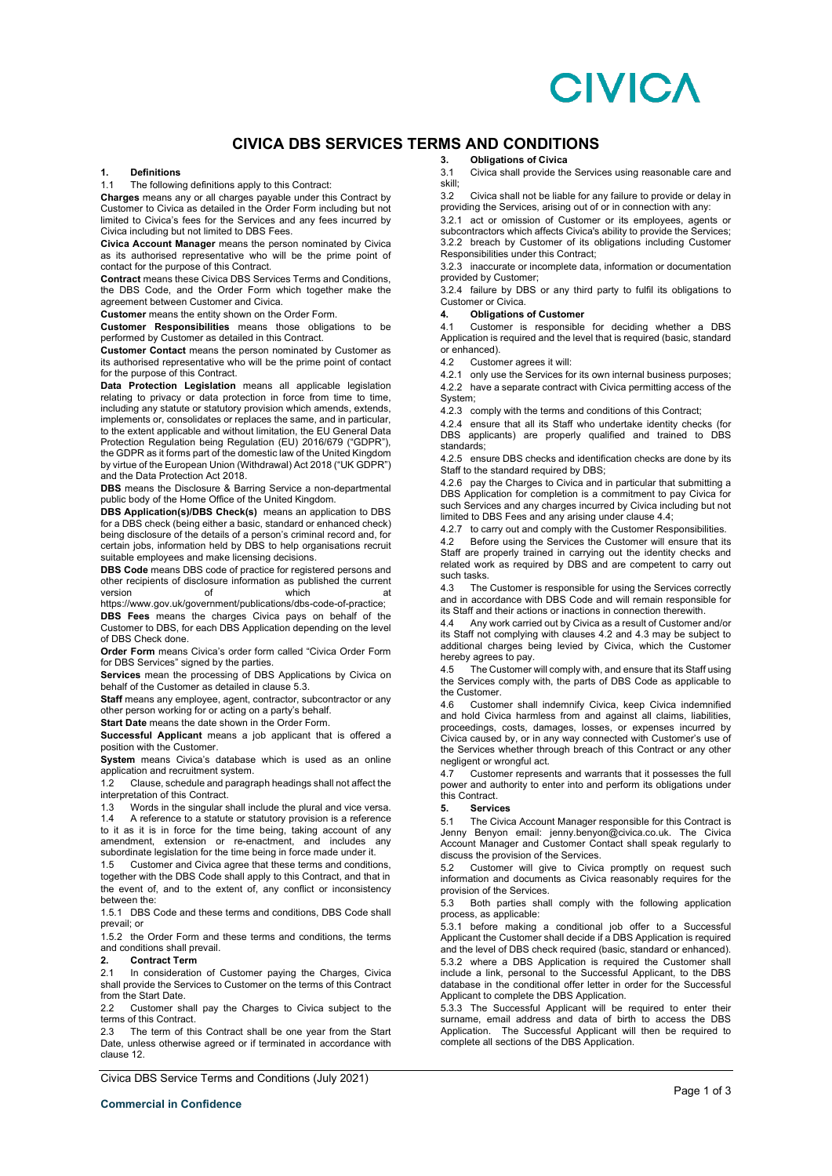# **CIVICA**

# **CIVICA DBS SERVICES TERMS AND CONDITIONS**

### **1. Definitions**

1.1 The following definitions apply to this Contract:

**Charges** means any or all charges payable under this Contract by Customer to Civica as detailed in the Order Form including but not limited to Civica's fees for the Services and any fees incurred by Civica including but not limited to DBS Fees.

**Civica Account Manager** means the person nominated by Civica as its authorised representative who will be the prime point of contact for the purpose of this Contract.

**Contract** means these Civica DBS Services Terms and Conditions, the DBS Code, and the Order Form which together make the agreement between Customer and Civica.

**Customer** means the entity shown on the Order Form.

**Customer Responsibilities** means those obligations to be performed by Customer as detailed in this Contract.

**Customer Contact** means the person nominated by Customer as its authorised representative who will be the prime point of contact for the purpose of this Contract.

**Data Protection Legislation** means all applicable legislation relating to privacy or data protection in force from time to time, including any statute or statutory provision which amends, extends, implements or, consolidates or replaces the same, and in particular, to the extent applicable and without limitation, the EU General Data Protection Regulation being Regulation (EU) 2016/679 ("GDPR"), the GDPR as it forms part of the domestic law of the United Kingdom by virtue of the European Union (Withdrawal) Act 2018 ("UK GDPR") and the Data Protection Act 2018.

**DBS** means the Disclosure & Barring Service a non-departmental public body of the Home Office of the United Kingdom.

**DBS Application(s)/DBS Check(s)** means an application to DBS for a DBS check (being either a basic, standard or enhanced check) being disclosure of the details of a person's criminal record and, for certain jobs, information held by DBS to help organisations recruit suitable employees and make licensing decisions.

**DBS Code** means DBS code of practice for registered persons and other recipients of disclosure information as published the current version of which at

https://www.gov.uk/government/publications/dbs-code-of-practice; **DBS Fees** means the charges Civica pays on behalf of the Customer to DBS, for each DBS Application depending on the level of DBS Check done.

**Order Form** means Civica's order form called "Civica Order Form for DBS Services" signed by the parties.

**Services** mean the processing of DBS Applications by Civica on behalf of the Customer as detailed in clause 5.3.

**Staff** means any employee, agent, contractor, subcontractor or any other person working for or acting on a party's behalf.

**Start Date** means the date shown in the Order Form.

**Successful Applicant** means a job applicant that is offered a position with the Customer.

**System** means Civica's database which is used as an online application and recruitment system.

Clause, schedule and paragraph headings shall not affect the interpretation of this Contract.

1.3 Words in the singular shall include the plural and vice versa.<br>1.4 A reference to a statute or statutory provision is a reference

1.4 A reference to a statute or statutory provision is a reference to it as it is in force for the time being, taking account of any amendment, extension or re-enactment, and includes any subordinate legislation for the time being in force made under it.

1.5 Customer and Civica agree that these terms and conditions, together with the DBS Code shall apply to this Contract, and that in the event of, and to the extent of, any conflict or inconsistency between the:

1.5.1 DBS Code and these terms and conditions, DBS Code shall prevail; or

1.5.2 the Order Form and these terms and conditions, the terms and conditions shall prevail.

### **2. Contract Term**

2.1 In consideration of Customer paying the Charges, Civica shall provide the Services to Customer on the terms of this Contract from the Start Date

2.2 Customer shall pay the Charges to Civica subject to the terms of this Contract.

2.3 The term of this Contract shall be one year from the Start Date, unless otherwise agreed or if terminated in accordance with clause 12.

Civica DBS Service Terms and Conditions (July 2021)

**3. Obligations of Civica**

3.1 Civica shall provide the Services using reasonable care and skill;

3.2 Civica shall not be liable for any failure to provide or delay in providing the Services, arising out of or in connection with any:

3.2.1 act or omission of Customer or its employees, agents or subcontractors which affects Civica's ability to provide the Services; 3.2.2 breach by Customer of its obligations including Customer Responsibilities under this Contract;

3.2.3 inaccurate or incomplete data, information or documentation provided by Customer;

3.2.4 failure by DBS or any third party to fulfil its obligations to Customer or Civica.<br>4. **Obligations** 

### **4. Obligations of Customer**

4.1 Customer is responsible for deciding whether a DBS Application is required and the level that is required (basic, standard or enhanced).

4.2 Customer agrees it will:

4.2.1 only use the Services for its own internal business purposes; 4.2.2 have a separate contract with Civica permitting access of the System;

4.2.3 comply with the terms and conditions of this Contract;

4.2.4 ensure that all its Staff who undertake identity checks (for DBS applicants) are properly qualified and trained to DBS standards;

4.2.5 ensure DBS checks and identification checks are done by its Staff to the standard required by DBS;

4.2.6 pay the Charges to Civica and in particular that submitting a DBS Application for completion is a commitment to pay Civica for such Services and any charges incurred by Civica including but not limited to DBS Fees and any arising under clause 4.4;

4.2.7 to carry out and comply with the Customer Responsibilities.

4.2 Before using the Services the Customer will ensure that its Staff are properly trained in carrying out the identity checks and related work as required by DBS and are competent to carry out such tasks.<br>4.3 The

The Customer is responsible for using the Services correctly and in accordance with DBS Code and will remain responsible for its Staff and their actions or inactions in connection therewith.

4.4 Any work carried out by Civica as a result of Customer and/or its Staff not complying with clauses 4.2 and 4.3 may be subject to additional charges being levied by Civica, which the Customer hereby agrees to pay.

4.5 The Customer will comply with, and ensure that its Staff using the Services comply with, the parts of DBS Code as applicable to the Customer.

4.6 Customer shall indemnify Civica, keep Civica indemnified and hold Civica harmless from and against all claims, liabilities, proceedings, costs, damages, losses, or expenses incurred by Civica caused by, or in any way connected with Customer's use of the Services whether through breach of this Contract or any other negligent or wrongful act.

4.7 Customer represents and warrants that it possesses the full power and authority to enter into and perform its obligations under this Contract.

### **5. Services**

5.1 The Civica Account Manager responsible for this Contract is Jenny Benyon email: jenny.benyon@civica.co.uk. The Civica Account Manager and Customer Contact shall speak regularly to discuss the provision of the Services.

5.2 Customer will give to Civica promptly on request such information and documents as Civica reasonably requires for the provision of the Services.

5.3 Both parties shall comply with the following application process, as applicable:

5.3.1 before making a conditional job offer to a Successful Applicant the Customer shall decide if a DBS Application is required and the level of DBS check required (basic, standard or enhanced). 5.3.2 where a DBS Application is required the Customer shall include a link, personal to the Successful Applicant, to the DBS database in the conditional offer letter in order for the Successful Applicant to complete the DBS Application.

5.3.3 The Successful Applicant will be required to enter their surname, email address and data of birth to access the DBS Application. The Successful Applicant will then be required to complete all sections of the DBS Application.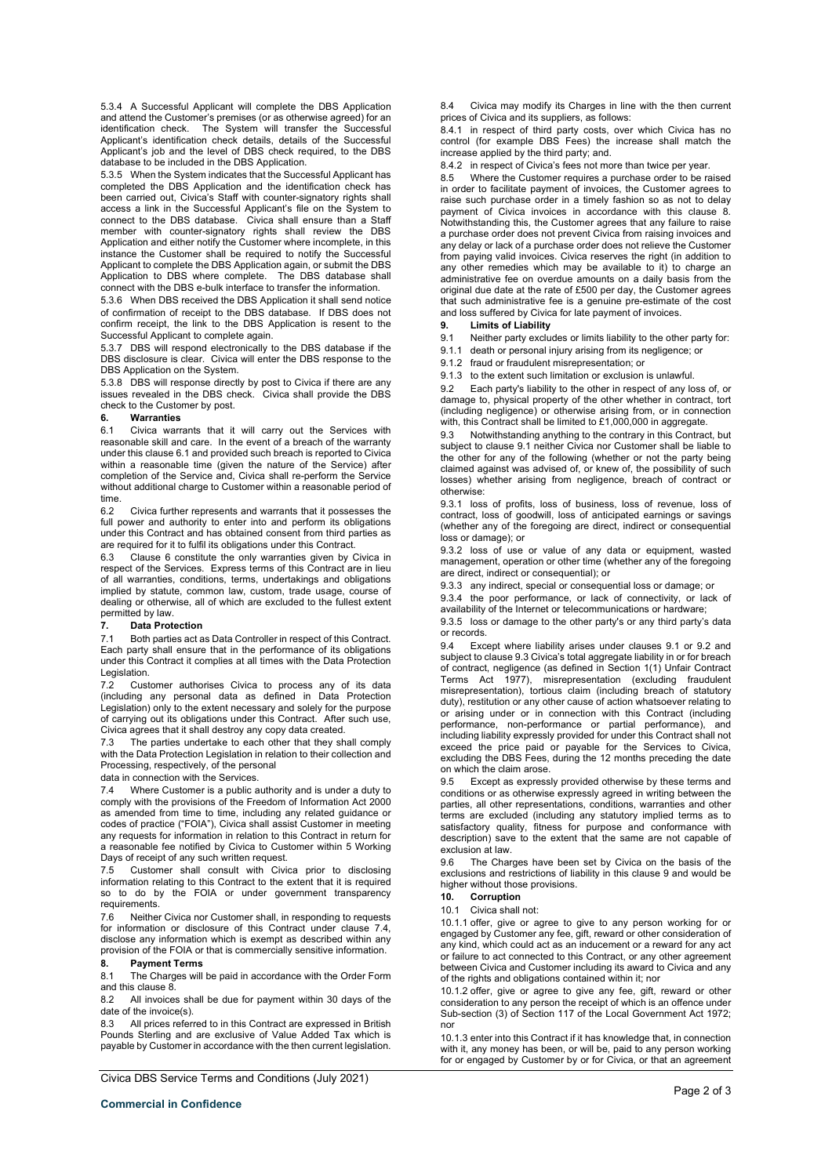5.3.4 A Successful Applicant will complete the DBS Application and attend the Customer's premises (or as otherwise agreed) for an identification check. The System will transfer the Successful Applicant's identification check details, details of the Successful Applicant's job and the level of DBS check required, to the DBS database to be included in the DBS Application.

5.3.5 When the System indicates that the Successful Applicant has completed the DBS Application and the identification check has been carried out, Civica's Staff with counter-signatory rights shall access a link in the Successful Applicant's file on the System to connect to the DBS database. Civica shall ensure than a Staff member with counter-signatory rights shall review the DBS Application and either notify the Customer where incomplete, in this instance the Customer shall be required to notify the Successful Applicant to complete the DBS Application again, or submit the DBS Application to DBS where complete. The DBS database shall connect with the DBS e-bulk interface to transfer the information.

5.3.6 When DBS received the DBS Application it shall send notice of confirmation of receipt to the DBS database. If DBS does not confirm receipt, the link to the DBS Application is resent to the Successful Applicant to complete again.

5.3.7 DBS will respond electronically to the DBS database if the DBS disclosure is clear. Civica will enter the DBS response to the DBS Application on the System.

5.3.8 DBS will response directly by post to Civica if there are any issues revealed in the DBS check. Civica shall provide the DBS check to the Customer by post.

### **6. Warranties**

6.1 Civica warrants that it will carry out the Services with reasonable skill and care. In the event of a breach of the warranty under this clause 6.1 and provided such breach is reported to Civica within a reasonable time (given the nature of the Service) after completion of the Service and, Civica shall re-perform the Service without additional charge to Customer within a reasonable period of time.<br>62

6.2 Civica further represents and warrants that it possesses the full power and authority to enter into and perform its obligations under this Contract and has obtained consent from third parties as are required for it to fulfil its obligations under this Contract.

Clause 6 constitute the only warranties given by Civica in respect of the Services. Express terms of this Contract are in lieu of all warranties, conditions, terms, undertakings and obligations implied by statute, common law, custom, trade usage, course of dealing or otherwise, all of which are excluded to the fullest extent permitted by law.

**7. Data Protection** Both parties act as Data Controller in respect of this Contract. Each party shall ensure that in the performance of its obligations under this Contract it complies at all times with the Data Protection Legislation.

7.2 Customer authorises Civica to process any of its data (including any personal data as defined in Data Protection Legislation) only to the extent necessary and solely for the purpose of carrying out its obligations under this Contract. After such use, Civica agrees that it shall destroy any copy data created.

7.3 The parties undertake to each other that they shall comply with the Data Protection Legislation in relation to their collection and Processing, respectively, of the personal

data in connection with the Services.

7.4 Where Customer is a public authority and is under a duty to comply with the provisions of the Freedom of Information Act 2000 as amended from time to time, including any related guidance or codes of practice ("FOIA"), Civica shall assist Customer in meeting any requests for information in relation to this Contract in return for a reasonable fee notified by Civica to Customer within 5 Working Days of receipt of any such written request.

7.5 Customer shall consult with Civica prior to disclosing information relating to this Contract to the extent that it is required so to do by the FOIA or under government transparency requirements.

7.6 Neither Civica nor Customer shall, in responding to requests for information or disclosure of this Contract under clause 7.4, disclose any information which is exempt as described within any provision of the FOIA or that is commercially sensitive information.

## **8. Payment Terms**

The Charges will be paid in accordance with the Order Form and this clause 8.

8.2 All invoices shall be due for payment within 30 days of the date of the invoice(s).

8.3 All prices referred to in this Contract are expressed in British Pounds Sterling and are exclusive of Value Added Tax which is payable by Customer in accordance with the then current legislation.

Civica DBS Service Terms and Conditions (July 2021)

8.4 Civica may modify its Charges in line with the then current prices of Civica and its suppliers, as follows:

8.4.1 in respect of third party costs, over which Civica has no control (for example DBS Fees) the increase shall match the increase applied by the third party; and.

8.4.2 in respect of Civica's fees not more than twice per year.

8.5 Where the Customer requires a purchase order to be raised in order to facilitate payment of invoices, the Customer agrees to raise such purchase order in a timely fashion so as not to delay payment of Civica invoices in accordance with this clause 8. Notwithstanding this, the Customer agrees that any failure to raise a purchase order does not prevent Civica from raising invoices and any delay or lack of a purchase order does not relieve the Customer from paying valid invoices. Civica reserves the right (in addition to any other remedies which may be available to it) to charge an administrative fee on overdue amounts on a daily basis from the original due date at the rate of £500 per day, the Customer agrees that such administrative fee is a genuine pre-estimate of the cost and loss suffered by Civica for late payment of invoices.

### **9. Limits of Liability**

9.1 Neither party excludes or limits liability to the other party for:

9.1.1 death or personal injury arising from its negligence; or

9.1.2 fraud or fraudulent misrepresentation; or

9.1.3 to the extent such limitation or exclusion is unlawful.

9.2 Each party's liability to the other in respect of any loss of, or damage to, physical property of the other whether in contract, tort (including negligence) or otherwise arising from, or in connection with, this Contract shall be limited to £1,000,000 in aggregate.

9.3 Notwithstanding anything to the contrary in this Contract, but subject to clause 9.1 neither Civica nor Customer shall be liable to the other for any of the following (whether or not the party being claimed against was advised of, or knew of, the possibility of such losses) whether arising from negligence, breach of contract or otherwise:

9.3.1 loss of profits, loss of business, loss of revenue, loss of contract, loss of goodwill, loss of anticipated earnings or savings (whether any of the foregoing are direct, indirect or consequential loss or damage); or

9.3.2 loss of use or value of any data or equipment, wasted management, operation or other time (whether any of the foregoing are direct, indirect or consequential); or

9.3.3 any indirect, special or consequential loss or damage; or 9.3.4 the poor performance, or lack of connectivity, or lack of

availability of the Internet or telecommunications or hardware; 9.3.5 loss or damage to the other party's or any third party's data

or records.

9.4 Except where liability arises under clauses 9.1 or 9.2 and subject to clause 9.3 Civica's total aggregate liability in or for breach of contract, negligence (as defined in Section 1(1) Unfair Contract Terms Act 1977), misrepresentation (excluding fraudulent misrepresentation), tortious claim (including breach of statutory duty), restitution or any other cause of action whatsoever relating to or arising under or in connection with this Contract (including performance, non-performance or partial performance), and including liability expressly provided for under this Contract shall not exceed the price paid or payable for the Services to Civica, excluding the DBS Fees, during the 12 months preceding the date on which the claim arose.

9.5 Except as expressly provided otherwise by these terms and conditions or as otherwise expressly agreed in writing between the parties, all other representations, conditions, warranties and other terms are excluded (including any statutory implied terms as to satisfactory quality, fitness for purpose and conformance with description) save to the extent that the same are not capable of exclusion at law.

9.6 The Charges have been set by Civica on the basis of the exclusions and restrictions of liability in this clause 9 and would be higher without those provisions.

**10. Corruption**

10.1 Civica shall not:

10.1.1 offer, give or agree to give to any person working for or engaged by Customer any fee, gift, reward or other consideration of any kind, which could act as an inducement or a reward for any act or failure to act connected to this Contract, or any other agreement between Civica and Customer including its award to Civica and any of the rights and obligations contained within it; nor

10.1.2 offer, give or agree to give any fee, gift, reward or other consideration to any person the receipt of which is an offence under Sub-section (3) of Section 117 of the Local Government Act 1972; nor

10.1.3 enter into this Contract if it has knowledge that, in connection with it, any money has been, or will be, paid to any person working for or engaged by Customer by or for Civica, or that an agreement